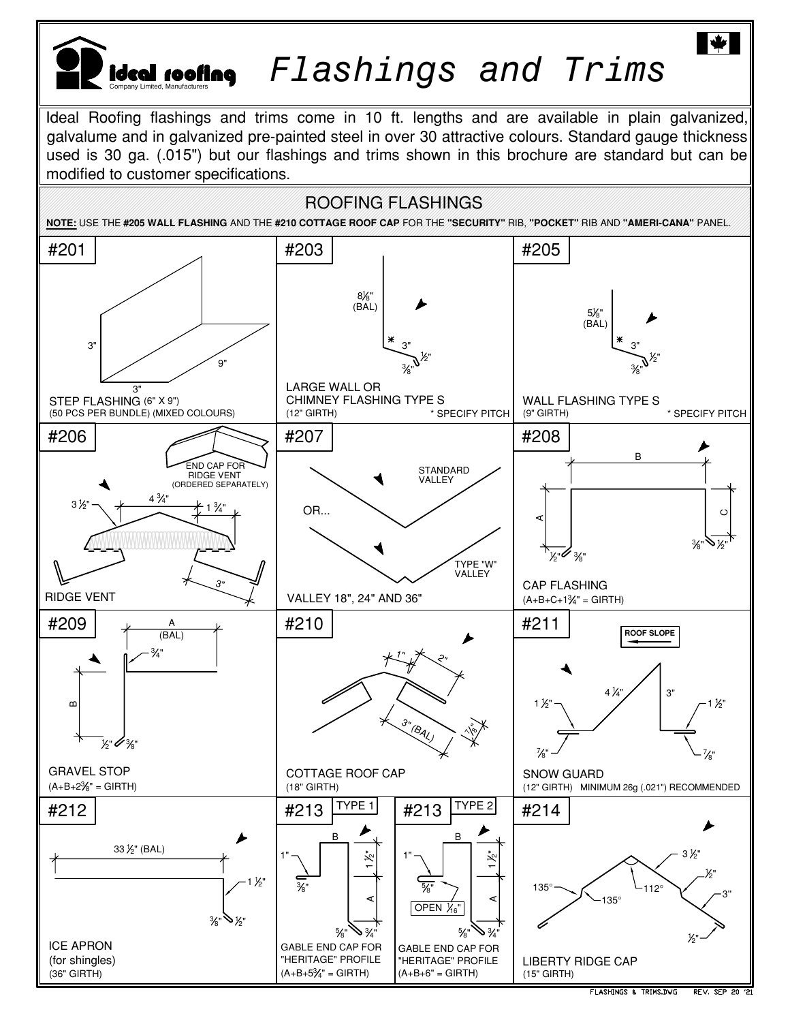

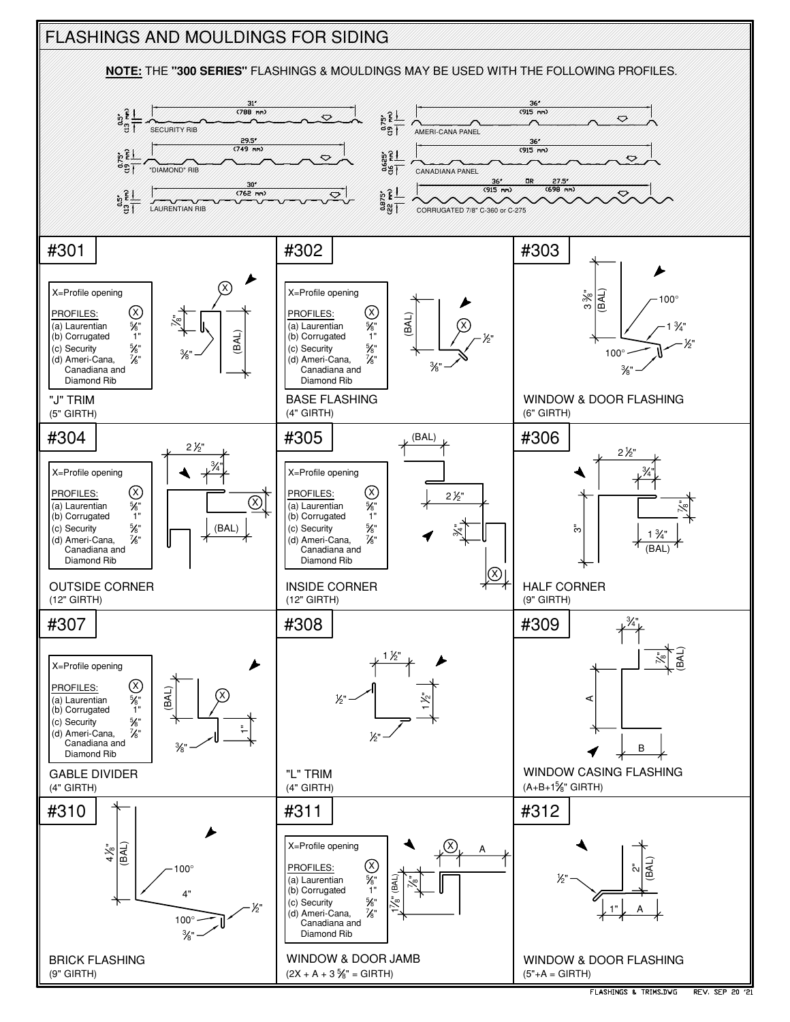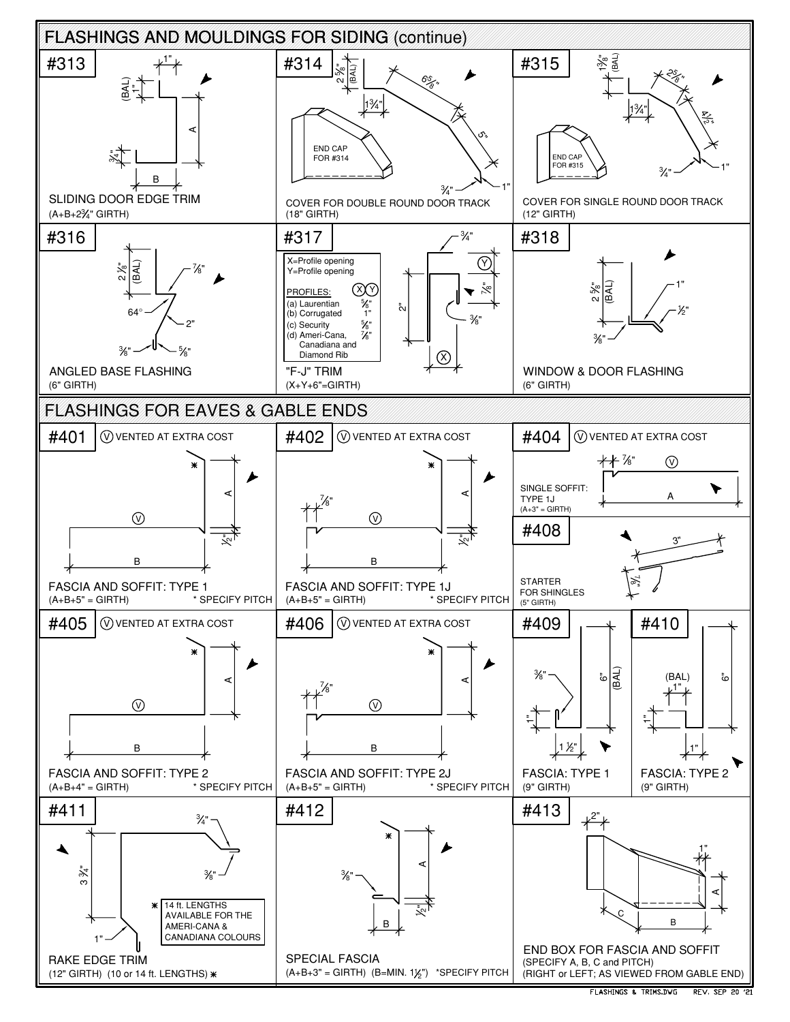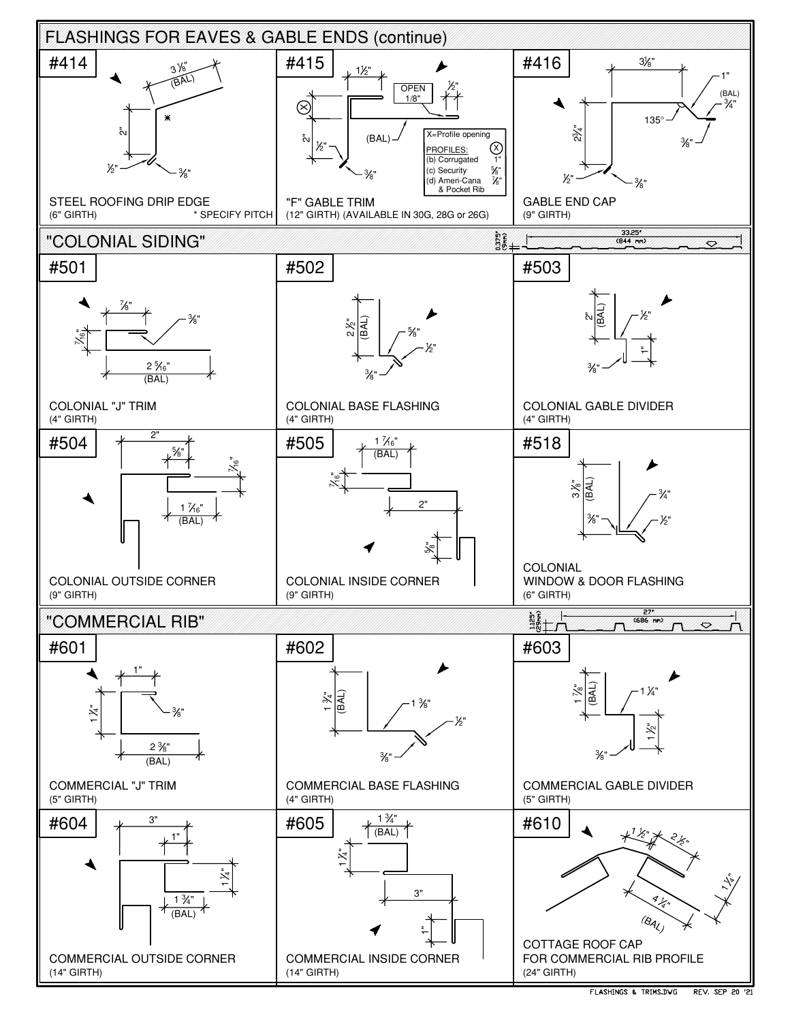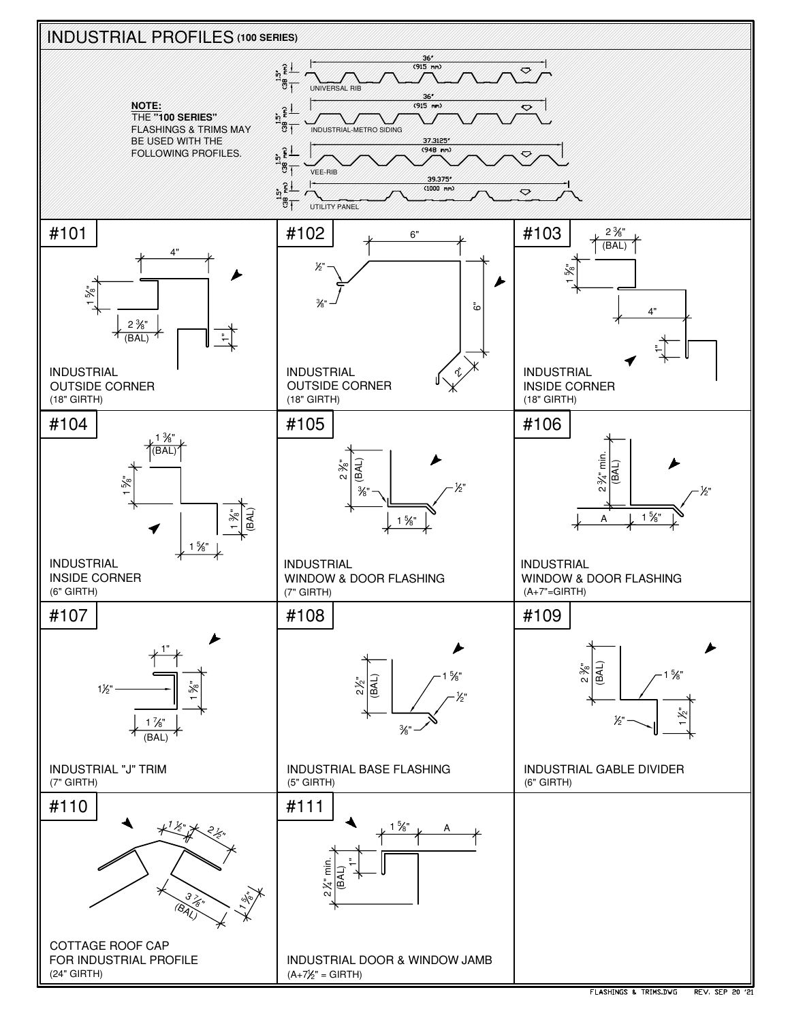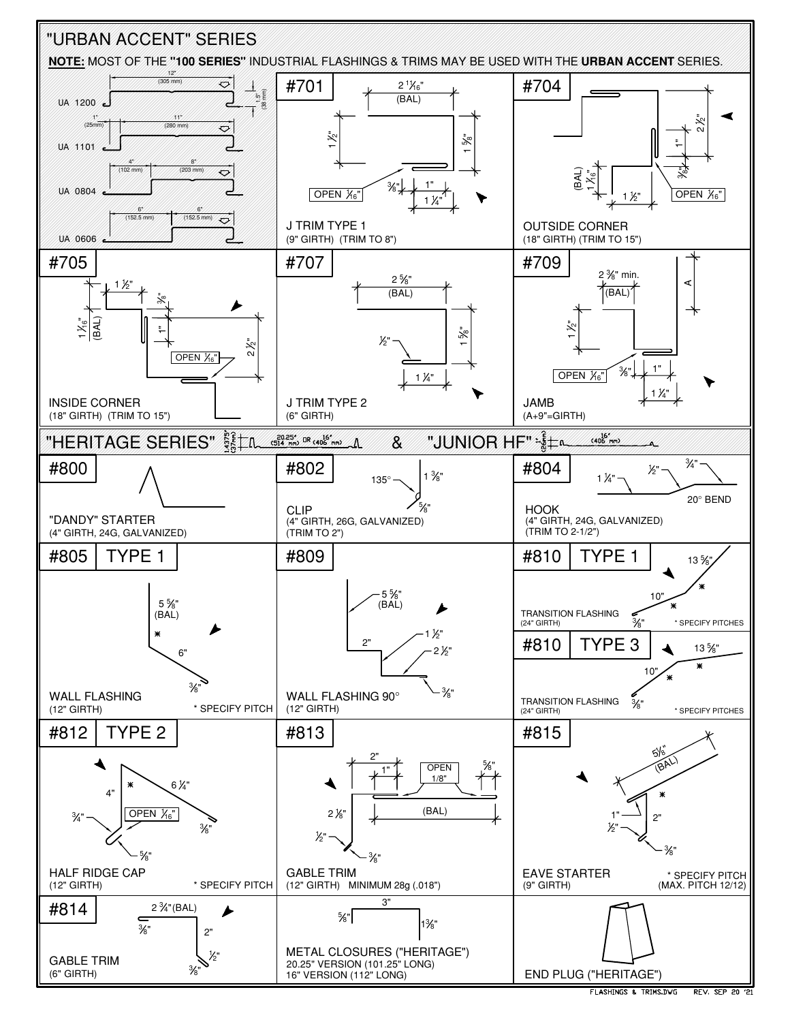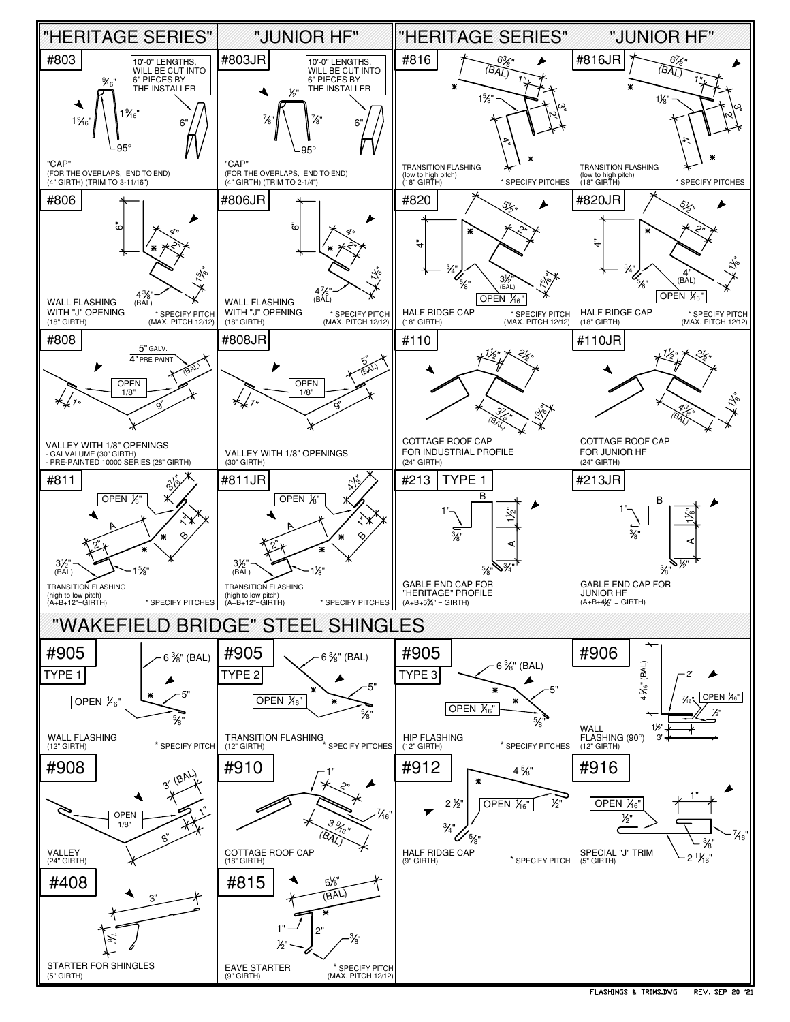